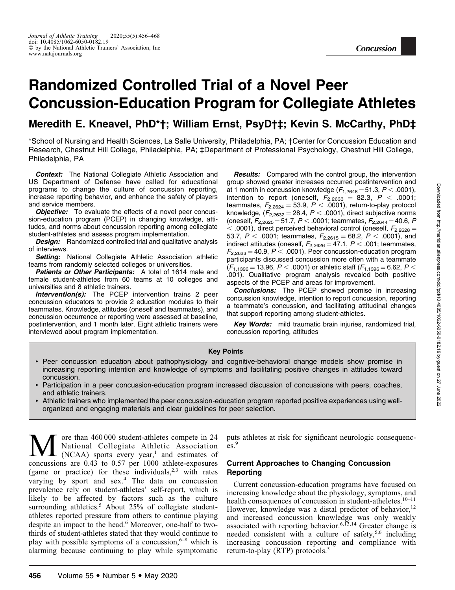# Randomized Controlled Trial of a Novel Peer Concussion-Education Program for Collegiate Athletes

Meredith E. Kneavel, PhD\*†; William Ernst, PsyD†‡; Kevin S. McCarthy, PhD‡

\*School of Nursing and Health Sciences, La Salle University, Philadelphia, PA; †Center for Concussion Education and Research, Chestnut Hill College, Philadelphia, PA; ‡Department of Professional Psychology, Chestnut Hill College, Philadelphia, PA

**Context:** The National Collegiate Athletic Association and US Department of Defense have called for educational programs to change the culture of concussion reporting, increase reporting behavior, and enhance the safety of players and service members.

**Objective:** To evaluate the effects of a novel peer concussion-education program (PCEP) in changing knowledge, attitudes, and norms about concussion reporting among collegiate student-athletes and assess program implementation.

**Design:** Randomized controlled trial and qualitative analysis of interviews.

Setting: National Collegiate Athletic Association athletic teams from randomly selected colleges or universities.

Patients or Other Participants: A total of 1614 male and female student-athletes from 60 teams at 10 colleges and universities and 8 athletic trainers.

Intervention(s): The PCEP intervention trains 2 peer concussion educators to provide 2 education modules to their teammates. Knowledge, attitudes (oneself and teammates), and concussion occurrence or reporting were assessed at baseline, postintervention, and 1 month later. Eight athletic trainers were interviewed about program implementation.

**Results:** Compared with the control group, the intervention group showed greater increases occurred postintervention and at 1 month in concussion knowledge  $(F_{1,2648} = 51.3, P < .0001)$ , intention to report (oneself,  $F_{2,2633} = 82.3$ ,  $P < .0001$ ; teammates,  $F_{2,2624} = 53.9$ ,  $P < .0001$ ), return-to-play protocol knowledge,  $(F_{2,2632} = 28.4, P < .0001)$ , direct subjective norms (oneself,  $F_{2,2625}$  = 51.7, P < .0001; teammates,  $F_{2,2644}$  = 40.6, P < .0001), direct perceived behavioral control (oneself,  $F_{2,2628}$  = 53.7,  $P < .0001$ ; teammates,  $F_{2,2615} = 68.2$ ,  $P < .0001$ ), and indirect attitudes (oneself,  $F_{2,2626} = 47.1$ ,  $P < .001$ ; teammates,  $F_{2,2623} = 40.9$ ,  $P < .0001$ ). Peer concussion-education program participants discussed concussion more often with a teammate  $(F_{1,1396} = 13.96, P < .0001)$  or athletic staff  $(F_{1,1396} = 6.62, P < .0001)$ .001). Qualitative program analysis revealed both positive aspects of the PCEP and areas for improvement.

**Concussion** 

**Conclusions:** The PCEP showed promise in increasing concussion knowledge, intention to report concussion, reporting a teammate's concussion, and facilitating attitudinal changes that support reporting among student-athletes.

Key Words: mild traumatic brain injuries, randomized trial, concussion reporting, attitudes

#### Key Points

- Peer concussion education about pathophysiology and cognitive-behavioral change models show promise in increasing reporting intention and knowledge of symptoms and facilitating positive changes in attitudes toward concussion.
- - Participation in a peer concussion-education program increased discussion of concussions with peers, coaches, and athletic trainers.
- $\bullet$  Athletic trainers who implemented the peer concussion-education program reported positive experiences using wellorganized and engaging materials and clear guidelines for peer selection.

M ore than 460 000 student-athletes compete in 24<br>(National Collegiate Athletic Association<br>concussions are 0.43 to 0.57 per 1000 athlete-exposures National Collegiate Athletic Association concussions are 0.43 to 0.57 per 1000 athlete-exposures (game or practice) for these individuals, $2,3$  with rates varying by sport and  $sex<sup>4</sup>$ . The data on concussion prevalence rely on student-athletes' self-report, which is likely to be affected by factors such as the culture surrounding athletics.<sup>5</sup> About 25% of collegiate studentathletes reported pressure from others to continue playing despite an impact to the head.<sup>6</sup> Moreover, one-half to twothirds of student-athletes stated that they would continue to play with possible symptoms of a concussion,  $6-8$  which is alarming because continuing to play while symptomatic

puts athletes at risk for significant neurologic consequences.<sup>9</sup>

# Current Approaches to Changing Concussion Reporting

Current concussion-education programs have focused on increasing knowledge about the physiology, symptoms, and health consequences of concussion in student-atheletes.<sup>10–11</sup> However, knowledge was a distal predictor of behavior,  $12$ and increased concussion knowledge was only weakly associated with reporting behavior.<sup>6,13,14</sup> Greater change is needed consistent with a culture of safety,5,6 including increasing concussion reporting and compliance with return-to-play (RTP) protocols.<sup>5</sup>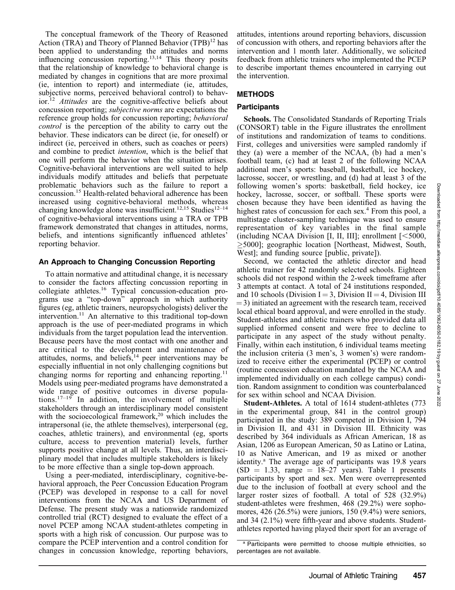The conceptual framework of the Theory of Reasoned Action (TRA) and Theory of Planned Behavior (TPB)<sup>12</sup> has been applied to understanding the attitudes and norms influencing concussion reporting.<sup>13,14</sup> This theory posits that the relationship of knowledge to behavioral change is mediated by changes in cognitions that are more proximal (ie, intention to report) and intermediate (ie, attitudes, subjective norms, perceived behavioral control) to behavior.<sup>12</sup> Attitudes are the cognitive-affective beliefs about concussion reporting; subjective norms are expectations the reference group holds for concussion reporting; behavioral control is the perception of the ability to carry out the behavior. These indicators can be direct (ie, for oneself) or indirect (ie, perceived in others, such as coaches or peers) and combine to predict intention, which is the belief that one will perform the behavior when the situation arises. Cognitive-behavioral interventions are well suited to help individuals modify attitudes and beliefs that perpetuate problematic behaviors such as the failure to report a concussion.15 Health-related behavioral adherence has been increased using cognitive-behavioral methods, whereas changing knowledge alone was insufficient.<sup>12,15</sup> Studies<sup>12–14</sup> of cognitive-behavioral interventions using a TRA or TPB framework demonstrated that changes in attitudes, norms, beliefs, and intentions significantly influenced athletes' reporting behavior.

## An Approach to Changing Concussion Reporting

To attain normative and attitudinal change, it is necessary to consider the factors affecting concussion reporting in collegiate athletes.16 Typical concussion-education programs use a ''top-down'' approach in which authority figures (eg, athletic trainers, neuropsychologists) deliver the intervention.<sup>11</sup> An alternative to this traditional top-down approach is the use of peer-mediated programs in which individuals from the target population lead the intervention. Because peers have the most contact with one another and are critical to the development and maintenance of attitudes, norms, and beliefs,<sup>14</sup> peer interventions may be especially influential in not only challenging cognitions but changing norms for reporting and enhancing reporting.<sup>11</sup> Models using peer-mediated programs have demonstrated a wide range of positive outcomes in diverse populations.<sup>17–19</sup> In addition, the involvement of multiple stakeholders through an interdisciplinary model consistent with the socioecological framework,<sup>20</sup> which includes the intrapersonal (ie, the athlete themselves), interpersonal (eg, coaches, athletic trainers), and environmental (eg, sports culture, access to prevention material) levels, further supports positive change at all levels. Thus, an interdisciplinary model that includes multiple stakeholders is likely to be more effective than a single top-down approach.

Using a peer-mediated, interdisciplinary, cognitive-behavioral approach, the Peer Concussion Education Program (PCEP) was developed in response to a call for novel interventions from the NCAA and US Department of Defense. The present study was a nationwide randomized controlled trial (RCT) designed to evaluate the effect of a novel PCEP among NCAA student-athletes competing in sports with a high risk of concussion. Our purpose was to compare the PCEP intervention and a control condition for changes in concussion knowledge, reporting behaviors, attitudes, intentions around reporting behaviors, discussion of concussion with others, and reporting behaviors after the intervention and 1 month later. Additionally, we solicited feedback from athletic trainers who implemented the PCEP to describe important themes encountered in carrying out the intervention.

# METHODS

# **Participants**

Schools. The Consolidated Standards of Reporting Trials (CONSORT) table in the Figure illustrates the enrollment of institutions and randomization of teams to conditions. First, colleges and universities were sampled randomly if they (a) were a member of the NCAA, (b) had a men's football team, (c) had at least 2 of the following NCAA additional men's sports: baseball, basketball, ice hockey, lacrosse, soccer, or wrestling, and (d) had at least 3 of the following women's sports: basketball, field hockey, ice hockey, lacrosse, soccer, or softball. These sports were chosen because they have been identified as having the highest rates of concussion for each sex.<sup>4</sup> From this pool, a multistage cluster-sampling technique was used to ensure representation of key variables in the final sample (including NCAA Division  $[I, II, III]$ ; enrollment  $[<5000,$  $\geq$ 5000]; geographic location [Northeast, Midwest, South, West]; and funding source [public, private]).

Second, we contacted the athletic director and head athletic trainer for 42 randomly selected schools. Eighteen schools did not respond within the 2-week timeframe after 3 attempts at contact. A total of 24 institutions responded, and 10 schools (Division  $I = 3$ , Division II = 4, Division III  $=$  3) initiated an agreement with the research team, received local ethical board approval, and were enrolled in the study. Student-athletes and athletic trainers who provided data all supplied informed consent and were free to decline to participate in any aspect of the study without penalty. Finally, within each institution, 6 individual teams meeting the inclusion criteria (3 men's, 3 women's) were randomized to receive either the experimental (PCEP) or control (routine concussion education mandated by the NCAA and implemented individually on each college campus) condition. Random assignment to condition was counterbalanced for sex within school and NCAA Division.

Student-Athletes. A total of 1614 student-athletes (773 in the experimental group, 841 in the control group) participated in the study: 389 competed in Division I, 794 in Division II, and 431 in Division III. Ethnicity was described by 364 individuals as African American, 18 as Asian, 1206 as European American, 50 as Latino or Latina, 10 as Native American, and 19 as mixed or another identity.<sup>a</sup> The average age of participants was 19.8 years  $(SD = 1.33$ , range  $= 18-27$  years). Table 1 presents participants by sport and sex. Men were overrepresented due to the inclusion of football at every school and the larger roster sizes of football. A total of 528 (32.9%) student-athletes were freshmen, 468 (29.2%) were sophomores, 426 (26.5%) were juniors, 150 (9.4%) were seniors, and 34 (2.1%) were fifth-year and above students. Studentathletes reported having played their sport for an average of

a Participants were permitted to choose multiple ethnicities, so percentages are not available.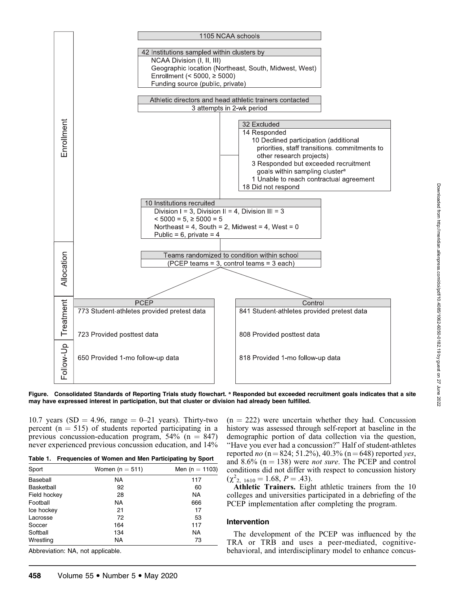

Figure. Consolidated Standards of Reporting Trials study flowchart. <sup>a</sup> Responded but exceeded recruitment goals indicates that a site may have expressed interest in participation, but that cluster or division had already been fulfilled.

10.7 years (SD = 4.96, range =  $0-21$  years). Thirty-two percent  $(n = 515)$  of students reported participating in a previous concussion-education program,  $54\%$  (n = 847) never experienced previous concussion education, and 14%

|  | Table 1. Frequencies of Women and Men Participating by Sport |  |  |  |  |  |
|--|--------------------------------------------------------------|--|--|--|--|--|
|--|--------------------------------------------------------------|--|--|--|--|--|

| Sport        | Women (n $=$ 511) | Men (n = 1103) |
|--------------|-------------------|----------------|
| Baseball     | <b>NA</b>         | 117            |
| Basketball   | 92                | 60             |
| Field hockey | 28                | <b>NA</b>      |
| Football     | NA.               | 666            |
| Ice hockey   | 21                | 17             |
| Lacrosse     | 72                | 53             |
| Soccer       | 164               | 117            |
| Softball     | 134               | <b>NA</b>      |
| Wrestling    | NA                | 73             |

Abbreviation: NA, not applicable.

 $(n = 222)$  were uncertain whether they had. Concussion history was assessed through self-report at baseline in the demographic portion of data collection via the question, ''Have you ever had a concussion?'' Half of student-athletes reported *no* (n = 824; 51.2%), 40.3% (n = 648) reported yes, and 8.6% ( $n = 138$ ) were *not sure*. The PCEP and control conditions did not differ with respect to concussion history  $(\chi^2_{2, 1610} = 1.68, P = .43).$ 

Athletic Trainers. Eight athletic trainers from the 10 colleges and universities participated in a debriefing of the PCEP implementation after completing the program.

#### Intervention

The development of the PCEP was influenced by the TRA or TRB and uses a peer-mediated, cognitivebehavioral, and interdisciplinary model to enhance concus-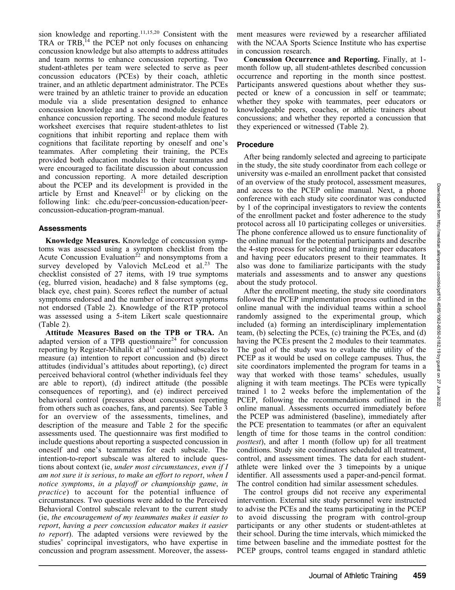sion knowledge and reporting.11,15,20 Consistent with the TRA or TRB,<sup>14</sup> the PCEP not only focuses on enhancing concussion knowledge but also attempts to address attitudes and team norms to enhance concussion reporting. Two student-athletes per team were selected to serve as peer concussion educators (PCEs) by their coach, athletic trainer, and an athletic department administrator. The PCEs were trained by an athletic trainer to provide an education module via a slide presentation designed to enhance concussion knowledge and a second module designed to enhance concussion reporting. The second module features worksheet exercises that require student-athletes to list cognitions that inhibit reporting and replace them with cognitions that facilitate reporting by oneself and one's teammates. After completing their training, the PCEs provided both education modules to their teammates and were encouraged to facilitate discussion about concussion and concussion reporting. A more detailed description about the PCEP and its development is provided in the article by Ernst and Kneavel<sup>21</sup> or by clicking on the following link: chc.edu/peer-concussion-education/peerconcussion-education-program-manual.

#### **Assessments**

Knowledge Measures. Knowledge of concussion symptoms was assessed using a symptom checklist from the Acute Concussion Evaluation<sup>22</sup> and nonsymptoms from a survey developed by Valovich McLeod et al. $23$  The checklist consisted of 27 items, with 19 true symptoms (eg, blurred vision, headache) and 8 false symptoms (eg, black eye, chest pain). Scores reflect the number of actual symptoms endorsed and the number of incorrect symptoms not endorsed (Table 2). Knowledge of the RTP protocol was assessed using a 5-item Likert scale questionnaire (Table 2).

Attitude Measures Based on the TPB or TRA. An adapted version of a TPB questionnaire<sup>24</sup> for concussion reporting by Register-Mihalik et  $al<sup>13</sup>$  contained subscales to measure (a) intention to report concussion and (b) direct attitudes (individual's attitudes about reporting), (c) direct perceived behavioral control (whether individuals feel they are able to report), (d) indirect attitude (the possible consequences of reporting), and (e) indirect perceived behavioral control (pressures about concussion reporting from others such as coaches, fans, and parents). See Table 3 for an overview of the assessments, timelines, and description of the measure and Table 2 for the specific assessments used. The questionnaire was first modified to include questions about reporting a suspected concussion in oneself and one's teammates for each subscale. The intention-to-report subscale was altered to include questions about context (ie, under most circumstances, even if I am not sure it is serious, to make an effort to report, when I notice symptoms, in a playoff or championship game, in practice) to account for the potential influence of circumstances. Two questions were added to the Perceived Behavioral Control subscale relevant to the current study (ie, the encouragement of my teammates makes it easier to report, having a peer concussion educator makes it easier to report). The adapted versions were reviewed by the studies' coprincipal investigators, who have expertise in concussion and program assessment. Moreover, the assessment measures were reviewed by a researcher affiliated with the NCAA Sports Science Institute who has expertise in concussion research.

Concussion Occurrence and Reporting. Finally, at 1 month follow up, all student-athletes described concussion occurrence and reporting in the month since posttest. Participants answered questions about whether they suspected or knew of a concussion in self or teammate; whether they spoke with teammates, peer educators or knowledgeable peers, coaches, or athletic trainers about concussions; and whether they reported a concussion that they experienced or witnessed (Table 2).

## Procedure

After being randomly selected and agreeing to participate in the study, the site study coordinator from each college or university was e-mailed an enrollment packet that consisted of an overview of the study protocol, assessment measures, and access to the PCEP online manual. Next, a phone conference with each study site coordinator was conducted by 1 of the coprincipal investigators to review the contents of the enrollment packet and foster adherence to the study protocol across all 10 participating colleges or universities. The phone conference allowed us to ensure functionality of the online manual for the potential participants and describe the 4-step process for selecting and training peer educators and having peer educators present to their teammates. It also was done to familiarize participants with the study materials and assessments and to answer any questions about the study protocol.

After the enrollment meeting, the study site coordinators followed the PCEP implementation process outlined in the online manual with the individual teams within a school randomly assigned to the experimental group, which included (a) forming an interdisciplinary implementation team, (b) selecting the PCEs, (c) training the PCEs, and (d) having the PCEs present the 2 modules to their teammates. The goal of the study was to evaluate the utility of the PCEP as it would be used on college campuses. Thus, the site coordinators implemented the program for teams in a way that worked with those teams' schedules, usually aligning it with team meetings. The PCEs were typically trained 1 to 2 weeks before the implementation of the PCEP, following the recommendations outlined in the online manual. Assessments occurred immediately before the PCEP was administered (baseline), immediately after the PCE presentation to teammates (or after an equivalent length of time for those teams in the control condition: posttest), and after 1 month (follow up) for all treatment conditions. Study site coordinators scheduled all treatment, control, and assessment times. The data for each studentathlete were linked over the 3 timepoints by a unique identifier. All assessments used a paper-and-pencil format. The control condition had similar assessment schedules.

The control groups did not receive any experimental intervention. External site study personnel were instructed to advise the PCEs and the teams participating in the PCEP to avoid discussing the program with control-group participants or any other students or student-athletes at their school. During the time intervals, which mimicked the time between baseline and the immediate posttest for the PCEP groups, control teams engaged in standard athletic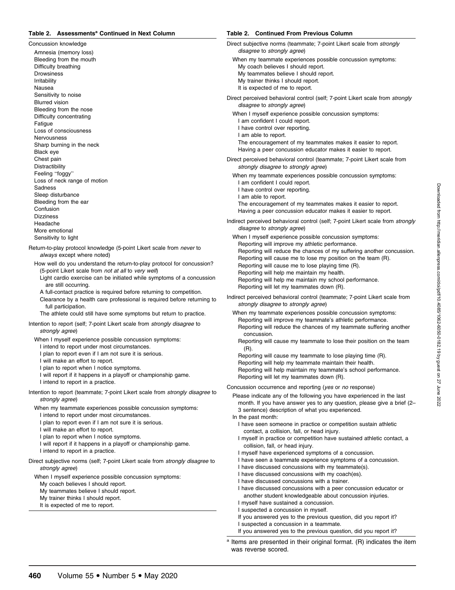#### Table 2. Assessments<sup>a</sup> Continued in Next Column

Concussion knowledge Amnesia (memory loss) Bleeding from the mouth Difficulty breathing Drowsiness Irritability Nausea Sensitivity to noise Blurred vision Bleeding from the nose Difficulty concentrating **Fatigue** Loss of consciousness Nervousness Sharp burning in the neck Black eye Chest pain **Distractibility** Feeling "foggy" Loss of neck range of motion **Sadness** Sleep disturbance Bleeding from the ear Confusion Dizziness Headache More emotional Sensitivity to light

Return-to-play protocol knowledge (5-point Likert scale from never to always except where noted)

- How well do you understand the return-to-play protocol for concussion? (5-point Likert scale from not at all to very well)
	- Light cardio exercise can be initiated while symptoms of a concussion are still occurring.
	- A full-contact practice is required before returning to competition.
	- Clearance by a health care professional is required before returning to full participation.
	- The athlete could still have some symptoms but return to practice.
- Intention to report (self; 7-point Likert scale from strongly disagree to strongly agree)
	- When I myself experience possible concussion symptoms:
		- I intend to report under most circumstances.
		- I plan to report even if I am not sure it is serious.
		- I will make an effort to report.
		- I plan to report when I notice symptoms.
		- I will report if it happens in a playoff or championship game.
		- I intend to report in a practice.
- Intention to report (teammate; 7-point Likert scale from strongly disagree to strongly agree)
- When my teammate experiences possible concussion symptoms: I intend to report under most circumstances.
	- I plan to report even if I am not sure it is serious.
	- I will make an effort to report.
	- I plan to report when I notice symptoms.
	- I will report if it happens in a playoff or championship game.
	- I intend to report in a practice.
- Direct subjective norms (self; 7-point Likert scale from strongly disagree to strongly agree)
	- When I myself experience possible concussion symptoms:
	- My coach believes I should report.
	- My teammates believe I should report.
	- My trainer thinks I should report.
	- It is expected of me to report.

#### Table 2. Continued From Previous Column

- Direct subjective norms (teammate; 7-point Likert scale from strongly disagree to strongly agree) When my teammate experiences possible concussion symptoms: My coach believes I should report. My teammates believe I should report. My trainer thinks I should report. It is expected of me to report. Direct perceived behavioral control (self; 7-point Likert scale from strongly disagree to strongly agree) When I myself experience possible concussion symptoms: I am confident I could report. I have control over reporting. I am able to report. The encouragement of my teammates makes it easier to report. Having a peer concussion educator makes it easier to report. Direct perceived behavioral control (teammate; 7-point Likert scale from strongly disagree to strongly agree) When my teammate experiences possible concussion symptoms: I am confident I could report. I have control over reporting. I am able to report. The encouragement of my teammates makes it easier to report. Having a peer concussion educator makes it easier to report. Indirect perceived behavioral control (self; 7-point Likert scale from strongly disagree to strongly agree) When I myself experience possible concussion symptoms: Reporting will improve my athletic performance. Reporting will reduce the chances of my suffering another concussion. Reporting will cause me to lose my position on the team (R). Reporting will cause me to lose playing time (R). Reporting will help me maintain my health. Reporting will help me maintain my school performance. Reporting will let my teammates down (R). Indirect perceived behavioral control (teammate; 7-point Likert scale from strongly disagree to strongly agree) When my teammate experiences possible concussion symptoms: Reporting will improve my teammate's athletic performance. Reporting will reduce the chances of my teammate suffering another concussion. Reporting will cause my teammate to lose their position on the team (R). Reporting will cause my teammate to lose playing time (R). Reporting will help my teammate maintain their health. Reporting will help maintain my teammate's school performance. Reporting will let my teammates down (R). Concussion occurrence and reporting (yes or no response) Please indicate any of the following you have experienced in the last month. If you have answer yes to any question, please give a brief (2– 3 sentence) description of what you experienced. In the past month: I have seen someone in practice or competition sustain athletic contact, a collision, fall, or head injury. I myself in practice or competition have sustained athletic contact, a collision, fall, or head injury. I myself have experienced symptoms of a concussion. I have seen a teammate experience symptoms of a concussion. I have discussed concussions with my teammate(s). I have discussed concussions with my coach(es). I have discussed concussions with a trainer. I have discussed concussions with a peer concussion educator or another student knowledgeable about concussion injuries. I myself have sustained a concussion. I suspected a concussion in myself. If you answered yes to the previous question, did you report it? I suspected a concussion in a teammate. If you answered yes to the previous question, did you report it?
- a Items are presented in their original format. (R) indicates the item was reverse scored.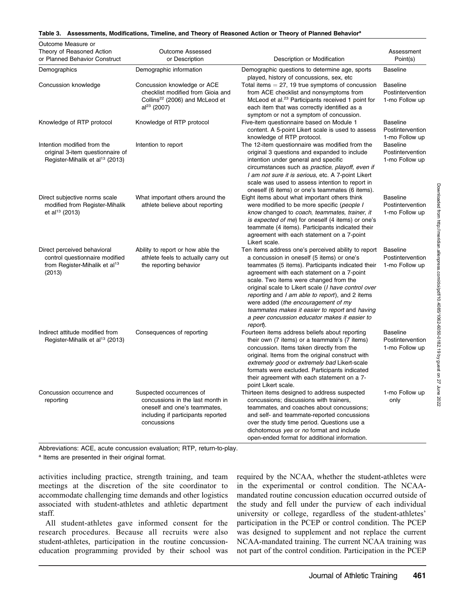#### Table 3. Assessments, Modifications, Timeline, and Theory of Reasoned Action or Theory of Planned Behavior<sup>a</sup>

| Outcome Measure or<br>Theory of Reasoned Action<br>or Planned Behavior Construct                                     | Outcome Assessed<br>or Description                                                                                                                | Description or Modification                                                                                                                                                                                                                                                                                                                                                                                                                                                                                    | Assessment<br>Point(s)                                |
|----------------------------------------------------------------------------------------------------------------------|---------------------------------------------------------------------------------------------------------------------------------------------------|----------------------------------------------------------------------------------------------------------------------------------------------------------------------------------------------------------------------------------------------------------------------------------------------------------------------------------------------------------------------------------------------------------------------------------------------------------------------------------------------------------------|-------------------------------------------------------|
| Demographics                                                                                                         | Demographic information                                                                                                                           | Demographic questions to determine age, sports<br>played, history of concussions, sex, etc                                                                                                                                                                                                                                                                                                                                                                                                                     | <b>Baseline</b>                                       |
| Concussion knowledge                                                                                                 | Concussion knowledge or ACE<br>checklist modified from Gioia and<br>Collins <sup>22</sup> (2006) and McLeod et<br>al <sup>23</sup> (2007)         | Total items $= 27$ , 19 true symptoms of concussion<br>from ACE checklist and nonsymptoms from<br>McLeod et al. <sup>23</sup> Participants received 1 point for<br>each item that was correctly identified as a<br>symptom or not a symptom of concussion.                                                                                                                                                                                                                                                     | <b>Baseline</b><br>Postintervention<br>1-mo Follow up |
| Knowledge of RTP protocol                                                                                            | Knowledge of RTP protocol                                                                                                                         | Five-item questionnaire based on Module 1<br>content. A 5-point Likert scale is used to assess<br>knowledge of RTP protocol.                                                                                                                                                                                                                                                                                                                                                                                   | <b>Baseline</b><br>Postintervention<br>1-mo Follow up |
| Intention modified from the<br>original 3-item questionnaire of<br>Register-Mihalik et al <sup>13</sup> (2013)       | Intention to report                                                                                                                               | The 12-item questionnaire was modified from the<br>original 3 questions and expanded to include<br>intention under general and specific<br>circumstances such as practice, playoff, even if<br>I am not sure it is serious, etc. A 7-point Likert<br>scale was used to assess intention to report in<br>oneself (6 items) or one's teammates (6 items).                                                                                                                                                        | <b>Baseline</b><br>Postintervention<br>1-mo Follow up |
| Direct subjective norms scale<br>modified from Register-Mihalik<br>et al <sup>13</sup> (2013)                        | What important others around the<br>athlete believe about reporting                                                                               | Eight items about what important others think<br>were modified to be more specific (people I<br>know changed to coach, teammates, trainer, it<br>is expected of me) for oneself (4 items) or one's<br>teammate (4 items). Participants indicated their<br>agreement with each statement on a 7-point<br>Likert scale.                                                                                                                                                                                          | <b>Baseline</b><br>Postintervention<br>1-mo Follow up |
| Direct perceived behavioral<br>control questionnaire modified<br>from Register-Mihalik et al <sup>13</sup><br>(2013) | Ability to report or how able the<br>athlete feels to actually carry out<br>the reporting behavior                                                | Ten items address one's perceived ability to report<br>a concussion in oneself (5 items) or one's<br>teammates (5 items). Participants indicated their<br>agreement with each statement on a 7-point<br>scale. Two items were changed from the<br>original scale to Likert scale (I have control over<br>reporting and I am able to report), and 2 items<br>were added (the encouragement of my<br>teammates makes it easier to report and having<br>a peer concussion educator makes it easier to<br>report). | <b>Baseline</b><br>Postintervention<br>1-mo Follow up |
| Indirect attitude modified from<br>Register-Mihalik et al <sup>13</sup> (2013)                                       | Consequences of reporting                                                                                                                         | Fourteen items address beliefs about reporting<br>their own (7 items) or a teammate's (7 items)<br>concussion. Items taken directly from the<br>original. Items from the original construct with<br>extremely good or extremely bad Likert-scale<br>formats were excluded. Participants indicated<br>their agreement with each statement on a 7-<br>point Likert scale.                                                                                                                                        | <b>Baseline</b><br>Postintervention<br>1-mo Follow up |
| Concussion occurrence and<br>reporting                                                                               | Suspected occurrences of<br>concussions in the last month in<br>oneself and one's teammates,<br>including if participants reported<br>concussions | Thirteen items designed to address suspected<br>concussions; discussions with trainers,<br>teammates, and coaches about concussions;<br>and self- and teammate-reported concussions<br>over the study time period. Questions use a<br>dichotomous yes or no format and include<br>open-ended format for additional information.                                                                                                                                                                                | 1-mo Follow up<br>only                                |

Abbreviations: ACE, acute concussion evaluation; RTP, return-to-play. a Items are presented in their original format.

activities including practice, strength training, and team meetings at the discretion of the site coordinator to accommodate challenging time demands and other logistics associated with student-athletes and athletic department staff.

All student-athletes gave informed consent for the research procedures. Because all recruits were also student-athletes, participation in the routine concussioneducation programming provided by their school was

required by the NCAA, whether the student-athletes were in the experimental or control condition. The NCAAmandated routine concussion education occurred outside of the study and fell under the purview of each individual university or college, regardless of the student-athletes' participation in the PCEP or control condition. The PCEP was designed to supplement and not replace the current NCAA-mandated training. The current NCAA training was not part of the control condition. Participation in the PCEP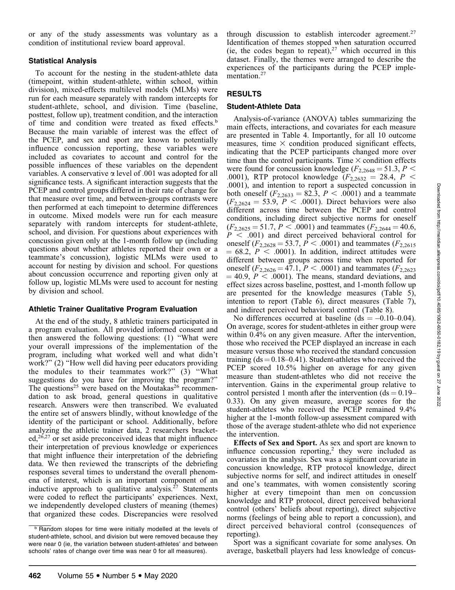or any of the study assessments was voluntary as a condition of institutional review board approval.

## Statistical Analysis

To account for the nesting in the student-athlete data (timepoint, within student-athlete, within school, within division), mixed-effects multilevel models (MLMs) were run for each measure separately with random intercepts for student-athlete, school, and division. Time (baseline, posttest, follow up), treatment condition, and the interaction of time and condition were treated as fixed effects.<sup>b</sup> Because the main variable of interest was the effect of the PCEP, and sex and sport are known to potentially influence concussion reporting, these variables were included as covariates to account and control for the possible influences of these variables on the dependent variables. A conservative  $\alpha$  level of .001 was adopted for all significance tests. A significant interaction suggests that the PCEP and control groups differed in their rate of change for that measure over time, and between-groups contrasts were then performed at each timepoint to determine differences in outcome. Mixed models were run for each measure separately with random intercepts for student-athlete, school, and division. For questions about experiences with concussion given only at the 1-month follow up (including questions about whether athletes reported their own or a teammate's concussion), logistic MLMs were used to account for nesting by division and school. For questions about concussion occurrence and reporting given only at follow up, logistic MLMs were used to account for nesting by division and school.

# Athletic Trainer Qualitative Program Evaluation

At the end of the study, 8 athletic trainers participated in a program evaluation. All provided informed consent and then answered the following questions: (1) ''What were your overall impressions of the implementation of the program, including what worked well and what didn't work?'' (2) ''How well did having peer educators providing the modules to their teammates work?'' (3) ''What suggestions do you have for improving the program?'' The questions<sup>25</sup> were based on the Moutakas<sup>26</sup> recommendation to ask broad, general questions in qualitative research. Answers were then transcribed. We evaluated the entire set of answers blindly, without knowledge of the identity of the participant or school. Additionally, before analyzing the athletic trainer data, 2 researchers bracket $ed<sub>1</sub><sup>26,27</sup>$  or set aside preconceived ideas that might influence their interpretation of previous knowledge or experiences that might influence their interpretation of the debriefing data. We then reviewed the transcripts of the debriefing responses several times to understand the overall phenomena of interest, which is an important component of an inductive approach to qualitative analysis.<sup>27</sup> Statements were coded to reflect the participants' experiences. Next, we independently developed clusters of meaning (themes) that organized these codes. Discrepancies were resolved through discussion to establish intercoder agreement.<sup>27</sup> Identification of themes stopped when saturation occurred (ie, the codes began to repeat), $27$  which occurred in this dataset. Finally, the themes were arranged to describe the experiences of the participants during the PCEP implementation.<sup>27</sup>

# RESULTS

## Student-Athlete Data

Analysis-of-variance (ANOVA) tables summarizing the main effects, interactions, and covariates for each measure are presented in Table 4. Importantly, for all 10 outcome measures, time  $\times$  condition produced significant effects, indicating that the PCEP participants changed more over time than the control participants. Time  $\times$  condition effects were found for concussion knowledge ( $F_{2,2648} = 51.3, P <$ .0001), RTP protocol knowledge  $(F_{2,2632} = 28.4, P <$ .0001), and intention to report a suspected concussion in both oneself  $(F_{2,2633} = 82.\overline{3}, P < .0001)$  and a teammate  $(F_{2,2624} = 53.9, P < .0001)$ . Direct behaviors were also different across time between the PCEP and control conditions, including direct subjective norms for oneself  $(F_{2,2625} = 51.7, P < .0001)$  and teammates  $(F_{2,2644} = 40.6,$  $P < .001$ ) and direct perceived behavioral control for oneself ( $F_{2,2628} = 53.7, P < .0001$ ) and teammates ( $F_{2,2615}$ )  $= 68.2, P < .0001$ ). In addition, indirect attitudes were different between groups across time when reported for oneself ( $F_{2,2626} = 47.1$ ,  $P < .0001$ ) and teammates ( $F_{2,2623}$ )  $=$  40.9,  $P \leq .0001$ ). The means, standard deviations, and effect sizes across baseline, posttest, and 1-month follow up are presented for the knowledge measures (Table 5), intention to report (Table 6), direct measures (Table 7), and indirect perceived behavioral control (Table 8).

No differences occurred at baseline  $(ds = -0.10-0.04)$ . On average, scores for student-athletes in either group were within  $0.4\%$  on any given measure. After the intervention, those who received the PCEP displayed an increase in each measure versus those who received the standard concussion training  $(ds = 0.18-0.41)$ . Student-athletes who received the PCEP scored 10.5% higher on average for any given measure than student-athletes who did not receive the intervention. Gains in the experimental group relative to control persisted 1 month after the intervention  $(ds = 0.19-$ 0.33). On any given measure, average scores for the student-athletes who received the PCEP remained 9.4% higher at the 1-month follow-up assessment compared with those of the average student-athlete who did not experience the intervention.

Effects of Sex and Sport. As sex and sport are known to influence concussion reporting, $2$  they were included as covariates in the analysis. Sex was a significant covariate in concussion knowledge, RTP protocol knowledge, direct subjective norms for self, and indirect attitudes in oneself and one's teammates, with women consistently scoring higher at every timepoint than men on concussion knowledge and RTP protocol, direct perceived behavioral control (others' beliefs about reporting), direct subjective norms (feelings of being able to report a concussion), and direct perceived behavioral control (consequences of reporting).

Sport was a significant covariate for some analyses. On average, basketball players had less knowledge of concus-

 $\overline{\phantom{a}}$  **Random slopes for time were initially modelled at the levels of** student-athlete, school, and division but were removed because they were near 0 (ie, the variation between student-athletes' and between schools' rates of change over time was near 0 for all measures).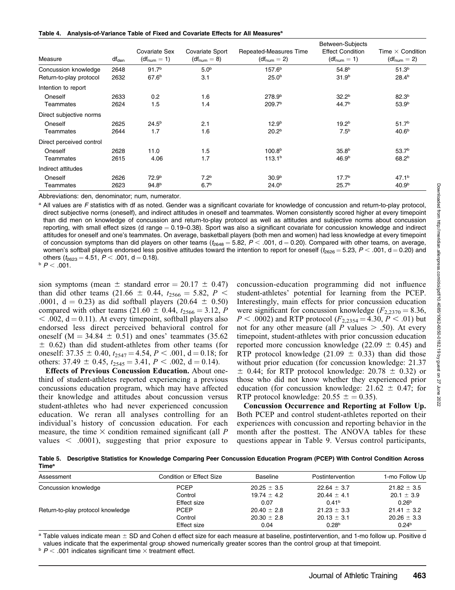|  |  |  | Table 4. Analysis-of-Variance Table of Fixed and Covariate Effects for All Measures <sup>a</sup> |  |
|--|--|--|--------------------------------------------------------------------------------------------------|--|
|--|--|--|--------------------------------------------------------------------------------------------------|--|

|                          |            |                   |                  |                        | Between-Subjects        |                         |
|--------------------------|------------|-------------------|------------------|------------------------|-------------------------|-------------------------|
|                          |            | Covariate Sex     | Covariate Sport  | Repeated-Measures Time | <b>Effect Condition</b> | Time $\times$ Condition |
| Measure                  | $df_{den}$ | $(df_{num} = 1)$  | $(df_{num} = 8)$ | $(df_{num} = 2)$       | $(df_{num} = 1)$        | $(df_{num} = 2)$        |
| Concussion knowledge     | 2648       | 91.7 <sup>b</sup> | 5.0 <sup>b</sup> | 157.6 <sup>b</sup>     | 54.8 <sup>b</sup>       | 51.3 <sup>b</sup>       |
| Return-to-play protocol  | 2632       | 67.6 <sup>b</sup> | 3.1              | 25.0 <sup>b</sup>      | 31.9 <sup>b</sup>       | 28.4 <sup>b</sup>       |
| Intention to report      |            |                   |                  |                        |                         |                         |
| Oneself                  | 2633       | 0.2               | 1.6              | 278.9 <sup>b</sup>     | 32.2 <sup>b</sup>       | 82.3 <sup>b</sup>       |
| Teammates                | 2624       | 1.5               | 1.4              | 209.7 <sup>b</sup>     | 44.7 <sup>b</sup>       | 53.9 <sup>b</sup>       |
| Direct subjective norms  |            |                   |                  |                        |                         |                         |
| Oneself                  | 2625       | $24.5^{b}$        | 2.1              | 12.9 <sup>b</sup>      | 19.2 <sup>b</sup>       | 51.7 <sup>b</sup>       |
| Teammates                | 2644       | 1.7               | 1.6              | 20.2 <sup>b</sup>      | 7.5 <sup>b</sup>        | 40.6 <sup>b</sup>       |
| Direct perceived control |            |                   |                  |                        |                         |                         |
| Oneself                  | 2628       | 11.0              | 1.5              | 100.8 <sup>b</sup>     | 35.8 <sup>b</sup>       | 53.7 <sup>b</sup>       |
| Teammates                | 2615       | 4.06              | 1.7              | 113.1 <sup>b</sup>     | 46.9 <sup>b</sup>       | 68.2 <sup>b</sup>       |
| Indirect attitudes       |            |                   |                  |                        |                         |                         |
| Oneself                  | 2626       | 72.9 <sup>b</sup> | 7.2 <sup>b</sup> | 30.9 <sup>b</sup>      | 17.7 <sup>b</sup>       | 47.1 <sup>b</sup>       |
| Teammates                | 2623       | 94.8 <sup>b</sup> | 6.7 <sup>b</sup> | 24.0 <sup>b</sup>      | 25.7 <sup>b</sup>       | 40.9 <sup>b</sup>       |

Abbreviations: den, denominator; num, numerator.

a All values are F statistics with df as noted. Gender was a significant covariate for knowledge of concussion and return-to-play protocol, direct subjective norms (oneself), and indirect attitudes in oneself and teammates. Women consistently scored higher at every timepoint than did men on knowledge of concussion and return-to-play protocol as well as attitudes and subjective norms about concussion reporting, with small effect sizes (d range  $= 0.19 - 0.38$ ). Sport was also a significant covariate for concussion knowledge and indirect attitudes for oneself and one's teammates. On average, basketball players (both men and women) had less knowledge at every timepoint of concussion symptoms than did players on other teams ( $t_{2648} = 5.82$ ,  $P < .001$ , d = 0.20). Compared with other teams, on average, women's softball players endorsed less positive attitudes toward the intention to report for oneself ( $t_{2626} = 5.23$ ,  $P < .001$ , d = 0.20) and others ( $t_{2623} = 4.51$ ,  $P < .001$ , d = 0.18). b  $P < .001$ .

sion symptoms (mean  $\pm$  standard error = 20.17  $\pm$  0.47) than did other teams (21.66  $\pm$  0.44,  $t_{2566} = 5.82, P <$ .0001,  $d = 0.23$ ) as did softball players (20.64  $\pm$  0.50) compared with other teams (21.60  $\pm$  0.44,  $t_{2566} = 3.12$ , P  $<$  .002, d = 0.11). At every timepoint, softball players also endorsed less direct perceived behavioral control for oneself ( $M = 34.84 \pm 0.51$ ) and ones' teammates (35.62)  $\pm$  0.62) than did student-athletes from other teams (for oneself: 37.35  $\pm$  0.40,  $t_{2547} = 4.54, P < .001, d = 0.18$ ; for others:  $37.49 \pm 0.45$ ,  $t_{2545} = 3.41$ ,  $P < .002$ , d = 0.14).

Effects of Previous Concussion Education. About onethird of student-athletes reported experiencing a previous concussions education program, which may have affected their knowledge and attitudes about concussion versus student-athletes who had never experienced concussion education. We reran all analyses controlling for an individual's history of concussion education. For each measure, the time  $\times$  condition remained significant (all P values  $\leq$  .0001), suggesting that prior exposure to

concussion-education programming did not influence student-athletes' potential for learning from the PCEP. Interestingly, main effects for prior concussion education were significant for concussion knowledge ( $F_{2,2370} = 8.36$ ,  $P < .0002$ ) and RTP protocol ( $F_{2,2354} = 4.30, P < .01$ ) but not for any other measure (all P values  $> .50$ ). At every timepoint, student-athletes with prior concussion education reported more concussion knowledge (22.09  $\pm$  0.45) and RTP protocol knowledge  $(21.09 \pm 0.33)$  than did those without prior education (for concussion knowledge: 21.37  $\pm$  0.44; for RTP protocol knowledge: 20.78  $\pm$  0.32) or those who did not know whether they experienced prior education (for concussion knowledge:  $21.62 \pm 0.47$ ; for RTP protocol knowledge:  $20.55 \pm 0.35$ ).

Concussion Occurrence and Reporting at Follow Up. Both PCEP and control student-athletes reported on their experiences with concussion and reporting behavior in the month after the posttest. The ANOVA tables for these questions appear in Table 9. Versus control participants,

Table 5. Descriptive Statistics for Knowledge Comparing Peer Concussion Education Program (PCEP) With Control Condition Across **Time**<sup>a</sup>

| Assessment                        | Condition or Effect Size | Baseline        | Postintervention  | 1-mo Follow Up    |
|-----------------------------------|--------------------------|-----------------|-------------------|-------------------|
| Concussion knowledge              | <b>PCEP</b>              | $20.25 \pm 3.5$ | $22.64 \pm 3.7$   | $21.82 \pm 3.5$   |
|                                   | Control                  | $19.74 \pm 4.2$ | $20.44 \pm 4.1$   | $20.1 \pm 3.9$    |
|                                   | Effect size              | 0.07            | 0.41 <sup>b</sup> | 0.26 <sup>b</sup> |
| Return-to-play protocol knowledge | <b>PCEP</b>              | $20.40 \pm 2.8$ | $21.23 \pm 3.3$   | $21.41 \pm 3.2$   |
|                                   | Control                  | $20.30 \pm 2.8$ | $20.13 \pm 3.1$   | $20.26 \pm 3.3$   |
|                                   | Effect size              | 0.04            | 0.28 <sup>b</sup> | 0.24 <sup>b</sup> |

 $a$  Table values indicate mean  $\pm$  SD and Cohen d effect size for each measure at baseline, postintervention, and 1-mo follow up. Positive d values indicate that the experimental group showed numerically greater scores than the control group at that timepoint.

 $b$  P < .001 indicates significant time  $\times$  treatment effect.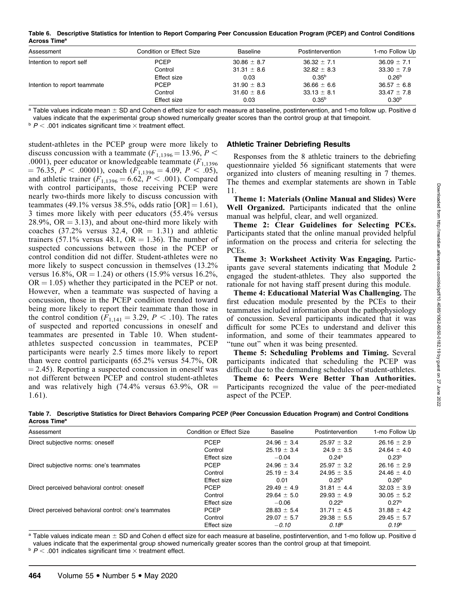Table 6. Descriptive Statistics for Intention to Report Comparing Peer Concussion Education Program (PCEP) and Control Conditions Across Timea

| Assessment                   | Condition or Effect Size | Baseline        | Postintervention | 1-mo Follow Up    |
|------------------------------|--------------------------|-----------------|------------------|-------------------|
| Intention to report self     | <b>PCEP</b>              | $30.86 \pm 8.7$ | $36.32 \pm 7.1$  | $36.09 \pm 7.1$   |
|                              | Control                  | $31.31 \pm 8.6$ | $32.82 \pm 8.3$  | $33.30 \pm 7.9$   |
|                              | Effect size              | 0.03            | $0.35^{b}$       | 0.26 <sup>b</sup> |
| Intention to report teammate | <b>PCEP</b>              | $31.90 \pm 8.3$ | $36.66 \pm 6.6$  | $36.57 \pm 6.8$   |
|                              | Control                  | $31.60 \pm 8.6$ | $33.13 \pm 8.1$  | $33.47 \pm 7.8$   |
|                              | Effect size              | 0.03            | $0.35^{b}$       | 0.30 <sup>b</sup> |

 $a$  Table values indicate mean  $\pm$  SD and Cohen d effect size for each measure at baseline, postintervention, and 1-mo follow up. Positive d values indicate that the experimental group showed numerically greater scores than the control group at that timepoint.

 $b$  P < .001 indicates significant time  $\times$  treatment effect.

student-athletes in the PCEP group were more likely to discuss concussion with a teammate  $(F_{1,1396} = 13.96, P <$ .0001), peer educator or knowledgeable teammate  $(F_{1,1396})$  $= 76.35, P < .00001$ , coach  $(F_{1,1396} = 4.09, P < .05)$ , and athletic trainer  $(F_{1,1396} = 6.62, P < .001)$ . Compared with control participants, those receiving PCEP were nearly two-thirds more likely to discuss concussion with teammates (49.1% versus 38.5%, odds ratio  $[OR] = 1.61$ ), 3 times more likely with peer educators (55.4% versus  $28.9\%$ , OR = 3.13), and about one-third more likely with coaches (37.2% versus 32.4,  $OR = 1.31$ ) and athletic trainers (57.1% versus 48.1, OR  $= 1.36$ ). The number of suspected concussions between those in the PCEP or control condition did not differ. Student-athletes were no more likely to suspect concussion in themselves (13.2% versus 16.8%, OR = 1.24) or others (15.9% versus 16.2%,  $OR = 1.05$ ) whether they participated in the PCEP or not. However, when a teammate was suspected of having a concussion, those in the PCEP condition trended toward being more likely to report their teammate than those in the control condition  $(F_{1,141} = 3.29, P < .10)$ . The rates of suspected and reported concussions in oneself and teammates are presented in Table 10. When studentathletes suspected concussion in teammates, PCEP participants were nearly 2.5 times more likely to report than were control participants (65.2% versus 54.7%, OR  $=$  2.45). Reporting a suspected concussion in oneself was not different between PCEP and control student-athletes and was relatively high (74.4% versus 63.9%, OR  $=$ 1.61).

#### Athletic Trainer Debriefing Results

Responses from the 8 athletic trainers to the debriefing questionnaire yielded 56 significant statements that were organized into clusters of meaning resulting in 7 themes. The themes and exemplar statements are shown in Table 11.

Theme 1: Materials (Online Manual and Slides) Were Well Organized. Participants indicated that the online manual was helpful, clear, and well organized.

Theme 2: Clear Guidelines for Selecting PCEs. Participants stated that the online manual provided helpful information on the process and criteria for selecting the PCEs.

Theme 3: Worksheet Activity Was Engaging. Participants gave several statements indicating that Module 2 engaged the student-athletes. They also supported the rationale for not having staff present during this module.

Theme 4: Educational Material Was Challenging. The first education module presented by the PCEs to their teammates included information about the pathophysiology of concussion. Several participants indicated that it was difficult for some PCEs to understand and deliver this information, and some of their teammates appeared to ''tune out'' when it was being presented.

Theme 5: Scheduling Problems and Timing. Several participants indicated that scheduling the PCEP was difficult due to the demanding schedules of student-athletes.

Theme 6: Peers Were Better Than Authorities. Participants recognized the value of the peer-mediated aspect of the PCEP.

Table 7. Descriptive Statistics for Direct Behaviors Comparing PCEP (Peer Concussion Education Program) and Control Conditions **Across Time**<sup>®</sup>

| Assessment                                           | <b>Condition or Effect Size</b> | <b>Baseline</b> | Postintervention  | 1-mo Follow Up    |
|------------------------------------------------------|---------------------------------|-----------------|-------------------|-------------------|
| Direct subjective norms: oneself                     | <b>PCEP</b>                     | $24.96 \pm 3.4$ | $25.97 \pm 3.2$   | $26.16 \pm 2.9$   |
|                                                      | Control                         | $25.19 \pm 3.4$ | $24.9 \pm 3.5$    | $24.64 \pm 4.0$   |
|                                                      | Effect size                     | $-0.04$         | 0.24 <sup>b</sup> | 0.23 <sup>b</sup> |
| Direct subjective norms: one's teammates             | <b>PCEP</b>                     | $24.96 \pm 3.4$ | $25.97 \pm 3.2$   | $26.16 \pm 2.9$   |
|                                                      | Control                         | $25.19 \pm 3.4$ | $24.95 \pm 3.5$   | $24.46 \pm 4.0$   |
|                                                      | Effect size                     | 0.01            | $0.25^{b}$        | 0.26 <sup>b</sup> |
| Direct perceived behavioral control: oneself         | <b>PCEP</b>                     | $29.49 \pm 4.9$ | $31.81 \pm 4.4$   | $32.03 \pm 3.9$   |
|                                                      | Control                         | $29.64 \pm 5.0$ | $29.93 \pm 4.9$   | $30.05 \pm 5.2$   |
|                                                      | Effect size                     | $-0.06$         | 0.22 <sup>b</sup> | 0.27 <sup>b</sup> |
| Direct perceived behavioral control: one's teammates | <b>PCEP</b>                     | $28.83 \pm 5.4$ | $31.71 \pm 4.5$   | $31.88 \pm 4.2$   |
|                                                      | Control                         | $29.07 \pm 5.7$ | $29.38 \pm 5.5$   | $29.45 \pm 5.7$   |
|                                                      | Effect size                     | $-0.10$         | 0.18 <sup>b</sup> | 0.19 <sup>b</sup> |

 $a$  Table values indicate mean  $\pm$  SD and Cohen d effect size for each measure at baseline, postintervention, and 1-mo follow up. Positive d values indicate that the experimental group showed numerically greater scores than the control group at that timepoint.

 $b$  P  $<$  .001 indicates significant time  $\times$  treatment effect.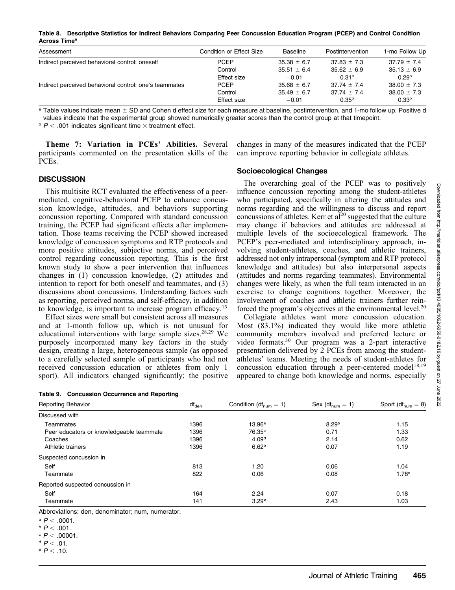Table 8. Descriptive Statistics for Indirect Behaviors Comparing Peer Concussion Education Program (PCEP) and Control Condition Across Timea

| Assessment                                             | <b>Condition or Effect Size</b> | Baseline        | Postintervention  | 1-mo Follow Up    |
|--------------------------------------------------------|---------------------------------|-----------------|-------------------|-------------------|
| Indirect perceived behavioral control: oneself         | <b>PCEP</b>                     | $35.38 \pm 6.7$ | $37.83 \pm 7.3$   | $37.79 \pm 7.4$   |
|                                                        | Control                         | $35.51 \pm 6.4$ | $35.62 \pm 6.9$   | $35.13 \pm 6.9$   |
|                                                        | Effect size                     | $-0.01$         | 0.31 <sup>b</sup> | 0.29 <sup>b</sup> |
| Indirect perceived behavioral control: one's teammates | <b>PCEP</b>                     | $35.68 \pm 6.7$ | $37.74 \pm 7.4$   | $38.00 \pm 7.3$   |
|                                                        | Control                         | $35.49 \pm 6.7$ | $37.74 \pm 7.4$   | $38.00 \pm 7.3$   |
|                                                        | Effect size                     | $-0.01$         | $0.35^{b}$        | $0.33^{b}$        |

 $a$  Table values indicate mean  $\pm$  SD and Cohen d effect size for each measure at baseline, postintervention, and 1-mo follow up. Positive d values indicate that the experimental group showed numerically greater scores than the control group at that timepoint.

 $b$   $P$  < .001 indicates significant time  $\times$  treatment effect.

Theme 7: Variation in PCEs' Abilities. Several participants commented on the presentation skills of the PCEs.

changes in many of the measures indicated that the PCEP can improve reporting behavior in collegiate athletes.

#### **DISCUSSION**

This multisite RCT evaluated the effectiveness of a peermediated, cognitive-behavioral PCEP to enhance concussion knowledge, attitudes, and behaviors supporting concussion reporting. Compared with standard concussion training, the PCEP had significant effects after implementation. Those teams receiving the PCEP showed increased knowledge of concussion symptoms and RTP protocols and more positive attitudes, subjective norms, and perceived control regarding concussion reporting. This is the first known study to show a peer intervention that influences changes in (1) concussion knowledge, (2) attitudes and intention to report for both oneself and teammates, and (3) discussions about concussions. Understanding factors such as reporting, perceived norms, and self-efficacy, in addition to knowledge, is important to increase program efficacy.<sup>13</sup>

Effect sizes were small but consistent across all measures and at 1-month follow up, which is not unusual for educational interventions with large sample sizes.<sup>28,29</sup> We purposely incorporated many key factors in the study design, creating a large, heterogeneous sample (as opposed to a carefully selected sample of participants who had not received concussion education or athletes from only 1 sport). All indicators changed significantly; the positive

|  | Table 9. Concussion Occurrence and Reporting |  |  |  |
|--|----------------------------------------------|--|--|--|
|--|----------------------------------------------|--|--|--|

Socioecological Changes

The overarching goal of the PCEP was to positively influence concussion reporting among the student-athletes who participated, specifically in altering the attitudes and norms regarding and the willingness to discuss and report concussions of athletes. Kerr et  $al^{20}$  suggested that the culture may change if behaviors and attitudes are addressed at multiple levels of the socioecological framework. The PCEP's peer-mediated and interdisciplinary approach, involving student-athletes, coaches, and athletic trainers, addressed not only intrapersonal (symptom and RTP protocol knowledge and attitudes) but also interpersonal aspects (attitudes and norms regarding teammates). Environmental changes were likely, as when the full team interacted in an exercise to change cognitions together. Moreover, the involvement of coaches and athletic trainers further reinforced the program's objectives at the environmental level.<sup>20</sup>

Collegiate athletes want more concussion education. Most (83.1%) indicated they would like more athletic community members involved and preferred lecture or video formats.30 Our program was a 2-part interactive presentation delivered by 2 PCEs from among the studentathletes' teams. Meeting the needs of student-athletes for concussion education through a peer-centered model<sup>18,19</sup> appeared to change both knowledge and norms, especially

| <b>Reporting Behavior</b>                | $df_{den}$ | Condition (df <sub>num</sub> = 1) | Sex (df <sub>num</sub> $= 1$ ) | Sport (df <sub>num</sub> $= 8$ ) |  |  |
|------------------------------------------|------------|-----------------------------------|--------------------------------|----------------------------------|--|--|
| Discussed with                           |            |                                   |                                |                                  |  |  |
| Teammates                                | 1396       | 13.96 <sup>a</sup>                | 8.29 <sup>b</sup>              | 1.15                             |  |  |
| Peer educators or knowledgeable teammate | 1396       | 76.35 <sup>c</sup>                | 0.71                           | 1.33                             |  |  |
| Coaches                                  | 1396       | 4.09 <sup>d</sup>                 | 2.14                           | 0.62                             |  |  |
| Athletic trainers                        | 1396       | 6.62 <sup>b</sup>                 | 0.07                           | 1.19                             |  |  |
| Suspected concussion in                  |            |                                   |                                |                                  |  |  |
| Self                                     | 813        | 1.20                              | 0.06                           | 1.04                             |  |  |
| Teammate                                 | 822        | 0.06                              | 0.08                           | 1.78 <sup>e</sup>                |  |  |
| Reported suspected concussion in         |            |                                   |                                |                                  |  |  |
| Self                                     | 164        | 2.24                              | 0.07                           | 0.18                             |  |  |
| Teammate                                 | 141        | 3.29 <sup>e</sup>                 | 2.43                           | 1.03                             |  |  |

Abbreviations: den, denominator; num, numerator.

 $b$   $P < .001$ .

 $c$   $P < .00001$ .

 $d P < .01$ .

 $P < .10$ .

 $a \, P < .0001$ .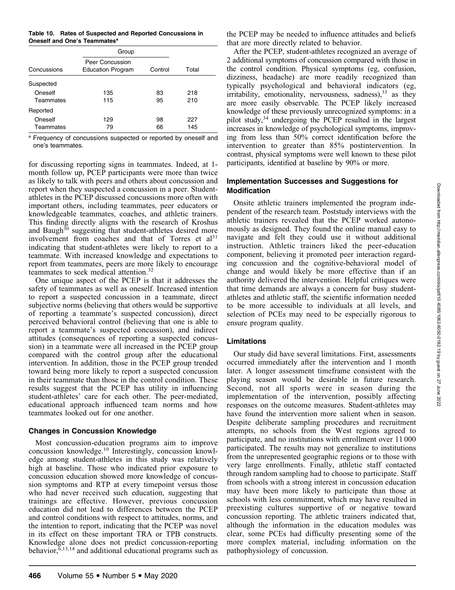Table 10. Rates of Suspected and Reported Concussions in Oneself and One's Teammatesa

|             | Group                                       |         |       |  |
|-------------|---------------------------------------------|---------|-------|--|
| Concussions | Peer Concussion<br><b>Education Program</b> | Control | Total |  |
| Suspected   |                                             |         |       |  |
| Oneself     | 135                                         | 83      | 218   |  |
| Teammates   | 115                                         | 95      | 210   |  |
| Reported    |                                             |         |       |  |
| Oneself     | 129                                         | 98      | 227   |  |
| Teammates   | 79                                          | 66      | 145   |  |

<sup>a</sup> Frequency of concussions suspected or reported by oneself and one's teammates.

for discussing reporting signs in teammates. Indeed, at 1 month follow up, PCEP participants were more than twice as likely to talk with peers and others about concussion and report when they suspected a concussion in a peer. Studentathletes in the PCEP discussed concussions more often with important others, including teammates, peer educators or knowledgeable teammates, coaches, and athletic trainers. This finding directly aligns with the research of Kroshus and Baugh<sup>30</sup> suggesting that student-athletes desired more involvement from coaches and that of Torres et  $al<sup>31</sup>$ indicating that student-athletes were likely to report to a teammate. With increased knowledge and expectations to report from teammates, peers are more likely to encourage teammates to seek medical attention.<sup>32</sup>

One unique aspect of the PCEP is that it addresses the safety of teammates as well as oneself. Increased intention to report a suspected concussion in a teammate, direct subjective norms (believing that others would be supportive of reporting a teammate's suspected concussion), direct perceived behavioral control (believing that one is able to report a teammate's suspected concussion), and indirect attitudes (consequences of reporting a suspected concussion) in a teammate were all increased in the PCEP group compared with the control group after the educational intervention. In addition, those in the PCEP group trended toward being more likely to report a suspected concussion in their teammate than those in the control condition. These results suggest that the PCEP has utility in influencing student-athletes' care for each other. The peer-mediated, educational approach influenced team norms and how teammates looked out for one another.

### Changes in Concussion Knowledge

Most concussion-education programs aim to improve concussion knowledge.10 Interestingly, concussion knowledge among student-athletes in this study was relatively high at baseline. Those who indicated prior exposure to concussion education showed more knowledge of concussion symptoms and RTP at every timepoint versus those who had never received such education, suggesting that trainings are effective. However, previous concussion education did not lead to differences between the PCEP and control conditions with respect to attitudes, norms, and the intention to report, indicating that the PCEP was novel in its effect on these important TRA or TPB constructs. Knowledge alone does not predict concussion-reporting behavior, $\overline{6}$ ,13,14 and additional educational programs such as the PCEP may be needed to influence attitudes and beliefs that are more directly related to behavior.

After the PCEP, student-athletes recognized an average of 2 additional symptoms of concussion compared with those in the control condition. Physical symptoms (eg, confusion, dizziness, headache) are more readily recognized than typically psychological and behavioral indicators (eg, irritability, emotionality, nervousness, sadness), $33$  as they are more easily observable. The PCEP likely increased knowledge of these previously unrecognized symptoms: in a pilot study, $34$  undergoing the PCEP resulted in the largest increases in knowledge of psychological symptoms, improving from less than 50% correct identification before the intervention to greater than 85% postintervention. In contrast, physical symptoms were well known to these pilot participants, identified at baseline by 90% or more.

# Implementation Successes and Suggestions for Modification

Onsite athletic trainers implemented the program independent of the research team. Poststudy interviews with the athletic trainers revealed that the PCEP worked autonomously as designed. They found the online manual easy to navigate and felt they could use it without additional instruction. Athletic trainers liked the peer-education component, believing it promoted peer interaction regarding concussion and the cognitive-behavioral model of change and would likely be more effective than if an authority delivered the intervention. Helpful critiques were that time demands are always a concern for busy studentathletes and athletic staff, the scientific information needed to be more accessible to individuals at all levels, and selection of PCEs may need to be especially rigorous to ensure program quality.

# Limitations

Our study did have several limitations. First, assessments occurred immediately after the intervention and 1 month later. A longer assessment timeframe consistent with the playing season would be desirable in future research. Second, not all sports were in season during the implementation of the intervention, possibly affecting responses on the outcome measures. Student-athletes may have found the intervention more salient when in season. Despite deliberate sampling procedures and recruitment attempts, no schools from the West regions agreed to participate, and no institutions with enrollment over 11 000 participated. The results may not generalize to institutions from the unrepresented geographic regions or to those with very large enrollments. Finally, athletic staff contacted through random sampling had to choose to participate. Staff from schools with a strong interest in concussion education may have been more likely to participate than those at schools with less commitment, which may have resulted in preexisting cultures supportive of or negative toward concussion reporting. The athletic trainers indicated that, although the information in the education modules was clear, some PCEs had difficulty presenting some of the more complex material, including information on the pathophysiology of concussion.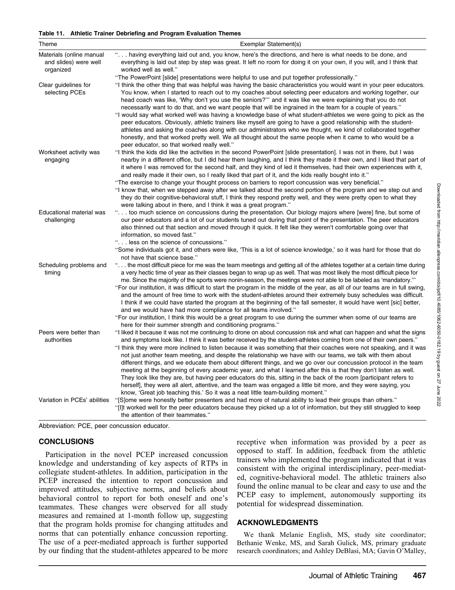#### Table 11. Athletic Trainer Debriefing and Program Evaluation Themes

| Theme                                                          | Exemplar Statement(s)                                                                                                                                                                                                                                                                                                                                                                                                                                                                                                                                                                                                                                                                                                                                                                                                                                                                                                                                                                                                                                                                                                  |
|----------------------------------------------------------------|------------------------------------------------------------------------------------------------------------------------------------------------------------------------------------------------------------------------------------------------------------------------------------------------------------------------------------------------------------------------------------------------------------------------------------------------------------------------------------------------------------------------------------------------------------------------------------------------------------------------------------------------------------------------------------------------------------------------------------------------------------------------------------------------------------------------------------------------------------------------------------------------------------------------------------------------------------------------------------------------------------------------------------------------------------------------------------------------------------------------|
| Materials (online manual<br>and slides) were well<br>organized | " having everything laid out and, you know, here's the directions, and here is what needs to be done, and<br>everything is laid out step by step was great. It left no room for doing it on your own, if you will, and I think that<br>worked well as well."                                                                                                                                                                                                                                                                                                                                                                                                                                                                                                                                                                                                                                                                                                                                                                                                                                                           |
| Clear guidelines for<br>selecting PCEs                         | "The PowerPoint [slide] presentations were helpful to use and put together professionally."<br>"I think the other thing that was helpful was having the basic characteristics you would want in your peer educators.<br>You know, when I started to reach out to my coaches about selecting peer educators and working together, our<br>head coach was like, 'Why don't you use the seniors?'" and it was like we were explaining that you do not<br>necessarily want to do that, and we want people that will be ingrained in the team for a couple of years."                                                                                                                                                                                                                                                                                                                                                                                                                                                                                                                                                        |
|                                                                | "I would say what worked well was having a knowledge base of what student-athletes we were going to pick as the<br>peer educators. Obviously, athletic trainers like myself are going to have a good relationship with the student-<br>athletes and asking the coaches along with our administrators who we thought, we kind of collaborated together<br>honestly, and that worked pretty well. We all thought about the same people when it came to who would be a<br>peer educator, so that worked really well."                                                                                                                                                                                                                                                                                                                                                                                                                                                                                                                                                                                                     |
| Worksheet activity was<br>engaging                             | "I think the kids did like the activities in the second PowerPoint [slide presentation]. I was not in there, but I was<br>nearby in a different office, but I did hear them laughing, and I think they made it their own, and I liked that part of<br>it where I was removed for the second half, and they kind of led it themselves, had their own experiences with it,<br>and really made it their own, so I really liked that part of it, and the kids really bought into it."<br>"The exercise to change your thought process on barriers to report concussion was very beneficial."<br>"I know that, when we stepped away after we talked about the second portion of the program and we step out and                                                                                                                                                                                                                                                                                                                                                                                                             |
| Educational material was<br>challenging                        | they do their cognitive-behavioral stuff, I think they respond pretty well, and they were pretty open to what they<br>were talking about in there, and I think it was a great program."<br>" too much science on concussions during the presentation. Our biology majors where [were] fine, but some of<br>our peer educators and a lot of our students tuned out during that point of the presentation. The peer educators<br>also thinned out that section and moved through it quick. It felt like they weren't comfortable going over that<br>information, so moved fast."                                                                                                                                                                                                                                                                                                                                                                                                                                                                                                                                         |
|                                                                | " less on the science of concussions."<br>"Some individuals got it, and others were like, 'This is a lot of science knowledge,' so it was hard for those that do<br>not have that science base."                                                                                                                                                                                                                                                                                                                                                                                                                                                                                                                                                                                                                                                                                                                                                                                                                                                                                                                       |
| Scheduling problems and<br>timing                              | " the most difficult piece for me was the team meetings and getting all of the athletes together at a certain time during<br>a very hectic time of year as their classes began to wrap up as well. That was most likely the most difficult piece for<br>me. Since the majority of the sports were nonin-season, the meetings were not able to be labeled as 'mandatory."<br>"For our institution, it was difficult to start the program in the middle of the year, as all of our teams are in full swing,<br>and the amount of free time to work with the student-athletes around their extremely busy schedules was difficult.<br>I think if we could have started the program at the beginning of the fall semester, it would have went [sic] better,<br>and we would have had more compliance for all teams involved."<br>"For our institution, I think this would be a great program to use during the summer when some of our teams are                                                                                                                                                                           |
| Peers were better than<br>authorities                          | here for their summer strength and conditioning programs."<br>"I liked it because it was not me continuing to drone on about concussion risk and what can happen and what the signs<br>and symptoms look like. I think it was better received by the student-athletes coming from one of their own peers."<br>"I think they were more inclined to listen because it was something that their coaches were not speaking, and it was<br>not just another team meeting, and despite the relationship we have with our teams, we talk with them about<br>different things, and we educate them about different things, and we go over our concussion protocol in the team<br>meeting at the beginning of every academic year, and what I learned after this is that they don't listen as well.<br>They look like they are, but having peer educators do this, sitting in the back of the room [participant refers to<br>herself], they were all alert, attentive, and the team was engaged a little bit more, and they were saying, you<br>know, 'Great job teaching this.' So it was a neat little team-building moment." |
| Variation in PCEs' abilities                                   | "[S]ome were honestly better presenters and had more of natural ability to lead their groups than others."<br>"[I]t worked well for the peer educators because they picked up a lot of information, but they still struggled to keep<br>the attention of their teammates."                                                                                                                                                                                                                                                                                                                                                                                                                                                                                                                                                                                                                                                                                                                                                                                                                                             |

Abbreviation: PCE, peer concussion educator.

#### **CONCLUSIONS**

Participation in the novel PCEP increased concussion knowledge and understanding of key aspects of RTPs in collegiate student-athletes. In addition, participation in the PCEP increased the intention to report concussion and improved attitudes, subjective norms, and beliefs about behavioral control to report for both oneself and one's teammates. These changes were observed for all study measures and remained at 1-month follow up, suggesting that the program holds promise for changing attitudes and norms that can potentially enhance concussion reporting. The use of a peer-mediated approach is further supported by our finding that the student-athletes appeared to be more receptive when information was provided by a peer as opposed to staff. In addition, feedback from the athletic trainers who implemented the program indicated that it was consistent with the original interdisciplinary, peer-mediated, cognitive-behavioral model. The athletic trainers also found the online manual to be clear and easy to use and the PCEP easy to implement, autonomously supporting its potential for widespread dissemination.

#### ACKNOWLEDGMENTS

We thank Melanie English, MS, study site coordinator; Bethanie Wenke, MS, and Sarah Gulick, MS, primary graduate research coordinators; and Ashley DeBlasi, MA; Gavin O'Malley,